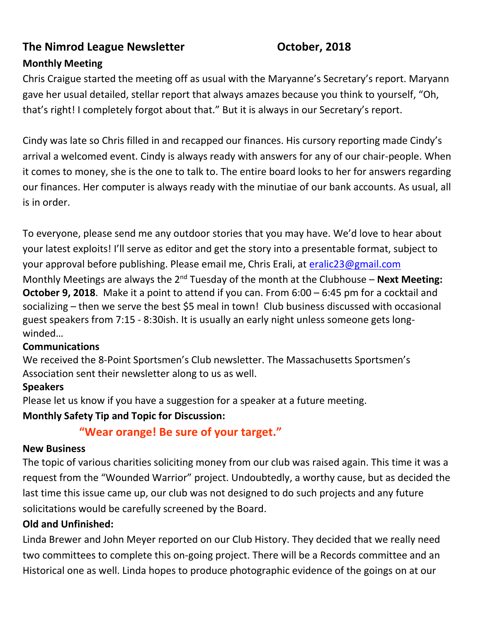# **The Nimrod League Newsletter Constructed Constrainers** October, 2018

### **Monthly Meeting**

Chris Craigue started the meeting off as usual with the Maryanne's Secretary's report. Maryann gave her usual detailed, stellar report that always amazes because you think to yourself, "Oh, that's right! I completely forgot about that." But it is always in our Secretary's report.

Cindy was late so Chris filled in and recapped our finances. His cursory reporting made Cindy's arrival a welcomed event. Cindy is always ready with answers for any of our chair-people. When it comes to money, she is the one to talk to. The entire board looks to her for answers regarding our finances. Her computer is always ready with the minutiae of our bank accounts. As usual, all is in order.

To everyone, please send me any outdoor stories that you may have. We'd love to hear about your latest exploits! I'll serve as editor and get the story into a presentable format, subject to your approval before publishing. Please email me, Chris Erali, at [eralic23@gmail.com](mailto:eralic23@gmail.com)

Monthly Meetings are always the 2<sup>nd</sup> Tuesday of the month at the Clubhouse – **Next Meeting: October 9, 2018**. Make it a point to attend if you can. From 6:00 – 6:45 pm for a cocktail and socializing – then we serve the best \$5 meal in town! Club business discussed with occasional guest speakers from 7:15 - 8:30ish. It is usually an early night unless someone gets longwinded…

#### **Communications**

We received the 8-Point Sportsmen's Club newsletter. The Massachusetts Sportsmen's Association sent their newsletter along to us as well.

#### **Speakers**

Please let us know if you have a suggestion for a speaker at a future meeting.

#### **Monthly Safety Tip and Topic for Discussion:**

# **"Wear orange! Be sure of your target."**

#### **New Business**

The topic of various charities soliciting money from our club was raised again. This time it was a request from the "Wounded Warrior" project. Undoubtedly, a worthy cause, but as decided the last time this issue came up, our club was not designed to do such projects and any future solicitations would be carefully screened by the Board.

#### **Old and Unfinished:**

Linda Brewer and John Meyer reported on our Club History. They decided that we really need two committees to complete this on-going project. There will be a Records committee and an Historical one as well. Linda hopes to produce photographic evidence of the goings on at our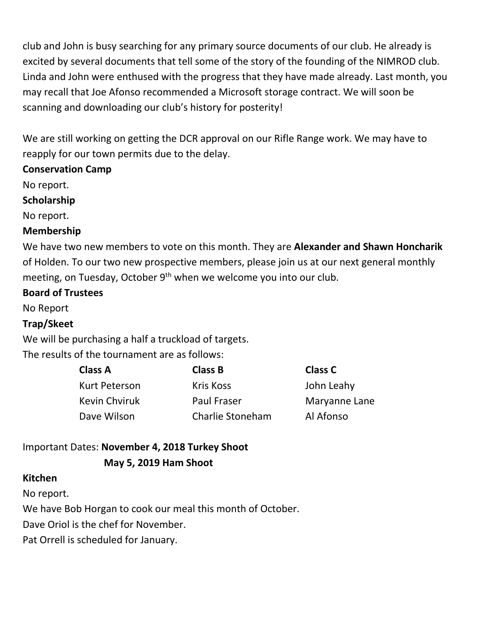club and John is busy searching for any primary source documents of our club. He already is excited by several documents that tell some of the story of the founding of the NIMROD club. Linda and John were enthused with the progress that they have made already. Last month, you may recall that Joe Afonso recommended a Microsoft storage contract. We will soon be scanning and downloading our club's history for posterity!

We are still working on getting the DCR approval on our Rifle Range work. We may have to reapply for our town permits due to the delay.

#### **Conservation Camp**

No report.

**Scholarship** 

No report.

#### **Membership**

We have two new members to vote on this month. They are **Alexander and Shawn Honcharik** of Holden. To our two new prospective members, please join us at our next general monthly meeting, on Tuesday, October  $9<sup>th</sup>$  when we welcome you into our club.

#### **Board of Trustees**

No Report

#### **Trap/Skeet**

We will be purchasing a half a truckload of targets.

The results of the tournament are as follows:

| <b>Class A</b>       | <b>Class B</b>     | Class C       |
|----------------------|--------------------|---------------|
| Kurt Peterson        | <b>Kris Koss</b>   | John Leahy    |
| <b>Kevin Chviruk</b> | <b>Paul Fraser</b> | Maryanne Lane |
| Dave Wilson          | Charlie Stoneham   | Al Afonso     |

# Important Dates: **November 4, 2018 Turkey Shoot May 5, 2019 Ham Shoot**

#### **Kitchen**

No report.

We have Bob Horgan to cook our meal this month of October.

Dave Oriol is the chef for November.

Pat Orrell is scheduled for January.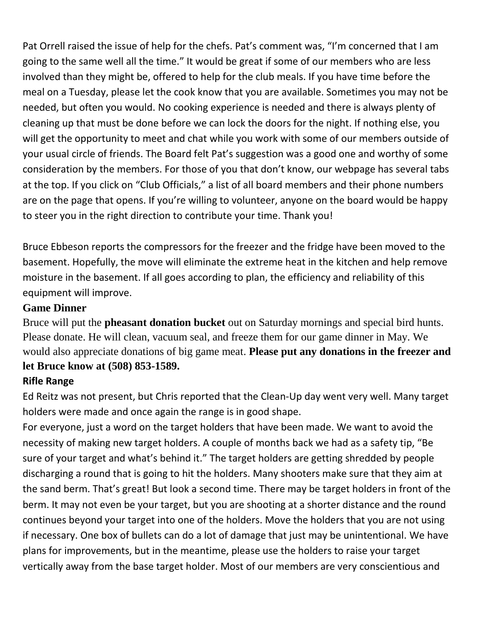Pat Orrell raised the issue of help for the chefs. Pat's comment was, "I'm concerned that I am going to the same well all the time." It would be great if some of our members who are less involved than they might be, offered to help for the club meals. If you have time before the meal on a Tuesday, please let the cook know that you are available. Sometimes you may not be needed, but often you would. No cooking experience is needed and there is always plenty of cleaning up that must be done before we can lock the doors for the night. If nothing else, you will get the opportunity to meet and chat while you work with some of our members outside of your usual circle of friends. The Board felt Pat's suggestion was a good one and worthy of some consideration by the members. For those of you that don't know, our webpage has several tabs at the top. If you click on "Club Officials," a list of all board members and their phone numbers are on the page that opens. If you're willing to volunteer, anyone on the board would be happy to steer you in the right direction to contribute your time. Thank you!

Bruce Ebbeson reports the compressors for the freezer and the fridge have been moved to the basement. Hopefully, the move will eliminate the extreme heat in the kitchen and help remove moisture in the basement. If all goes according to plan, the efficiency and reliability of this equipment will improve.

#### **Game Dinner**

Bruce will put the **pheasant donation bucket** out on Saturday mornings and special bird hunts. Please donate. He will clean, vacuum seal, and freeze them for our game dinner in May. We would also appreciate donations of big game meat. **Please put any donations in the freezer and let Bruce know at (508) 853-1589.**

# **Rifle Range**

Ed Reitz was not present, but Chris reported that the Clean-Up day went very well. Many target holders were made and once again the range is in good shape.

For everyone, just a word on the target holders that have been made. We want to avoid the necessity of making new target holders. A couple of months back we had as a safety tip, "Be sure of your target and what's behind it." The target holders are getting shredded by people discharging a round that is going to hit the holders. Many shooters make sure that they aim at the sand berm. That's great! But look a second time. There may be target holders in front of the berm. It may not even be your target, but you are shooting at a shorter distance and the round continues beyond your target into one of the holders. Move the holders that you are not using if necessary. One box of bullets can do a lot of damage that just may be unintentional. We have plans for improvements, but in the meantime, please use the holders to raise your target vertically away from the base target holder. Most of our members are very conscientious and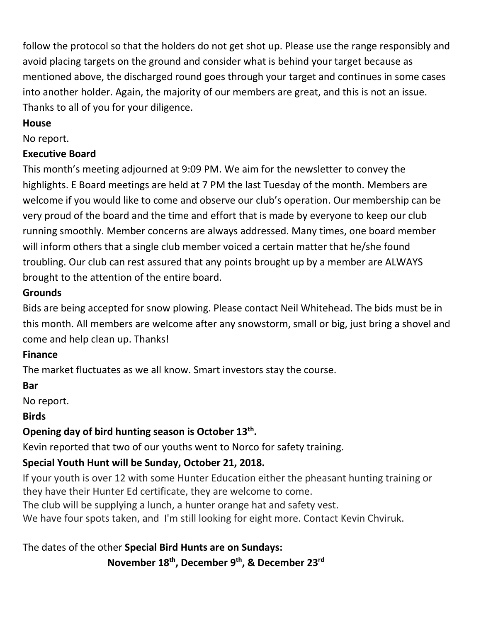follow the protocol so that the holders do not get shot up. Please use the range responsibly and avoid placing targets on the ground and consider what is behind your target because as mentioned above, the discharged round goes through your target and continues in some cases into another holder. Again, the majority of our members are great, and this is not an issue. Thanks to all of you for your diligence.

### **House**

No report.

# **Executive Board**

This month's meeting adjourned at 9:09 PM. We aim for the newsletter to convey the highlights. E Board meetings are held at 7 PM the last Tuesday of the month. Members are welcome if you would like to come and observe our club's operation. Our membership can be very proud of the board and the time and effort that is made by everyone to keep our club running smoothly. Member concerns are always addressed. Many times, one board member will inform others that a single club member voiced a certain matter that he/she found troubling. Our club can rest assured that any points brought up by a member are ALWAYS brought to the attention of the entire board.

# **Grounds**

Bids are being accepted for snow plowing. Please contact Neil Whitehead. The bids must be in this month. All members are welcome after any snowstorm, small or big, just bring a shovel and come and help clean up. Thanks!

# **Finance**

The market fluctuates as we all know. Smart investors stay the course.

# **Bar**

No report.

# **Birds**

# **Opening day of bird hunting season is October 13th .**

Kevin reported that two of our youths went to Norco for safety training.

# **Special Youth Hunt will be Sunday, October 21, 2018.**

If your youth is over 12 with some Hunter Education either the pheasant hunting training or they have their Hunter Ed certificate, they are welcome to come.

The club will be supplying a lunch, a hunter orange hat and safety vest.

We have four spots taken, and I'm still looking for eight more. Contact Kevin Chviruk.

The dates of the other **Special Bird Hunts are on Sundays: November 18th , December 9th, & December 23rd**